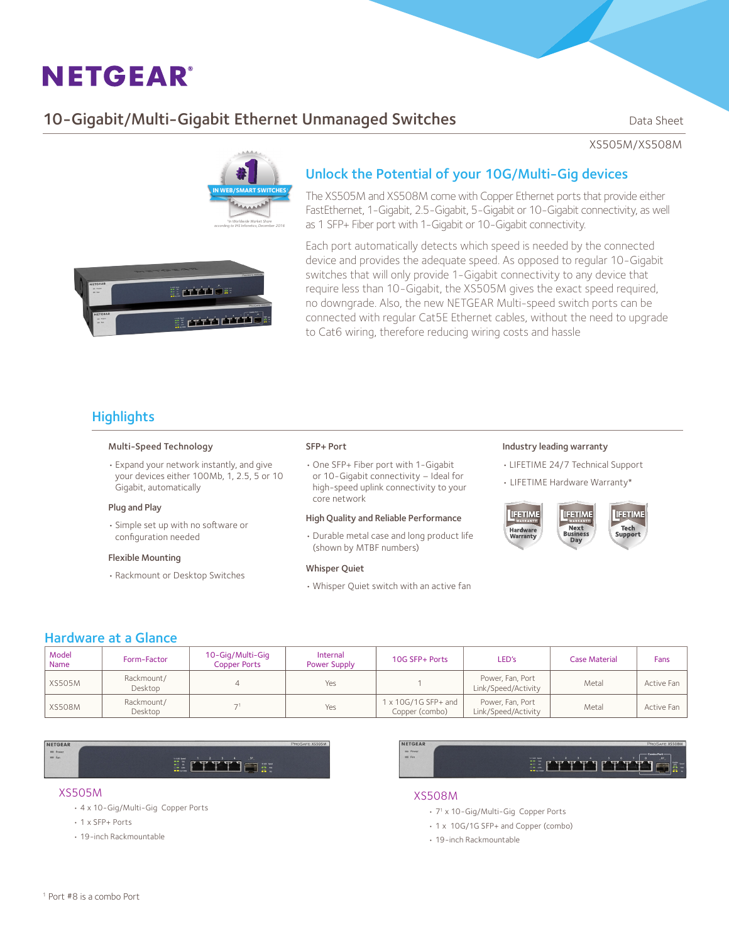# **NETGEAR®**

## 10-Gigabit/Multi-Gigabit Ethernet Unmanaged Switches Data Sheet

XS505M/XS508M



### Unlock the Potential of your 10G/Multi-Gig devices

The XS505M and XS508M come with Copper Ethernet ports that provide either FastEthernet, 1-Gigabit, 2.5-Gigabit, 5-Gigabit or 10-Gigabit connectivity, as well as 1 SFP+ Fiber port with 1-Gigabit or 10-Gigabit connectivity.

E privile <u> prri crri</u>

Each port automatically detects which speed is needed by the connected device and provides the adequate speed. As opposed to regular 10-Gigabit switches that will only provide 1-Gigabit connectivity to any device that require less than 10-Gigabit, the XS505M gives the exact speed required, no downgrade. Also, the new NETGEAR Multi-speed switch ports can be connected with regular Cat5E Ethernet cables, without the need to upgrade to Cat6 wiring, therefore reducing wiring costs and hassle

## **Highlights**

#### Multi-Speed Technology

• Expand your network instantly, and give your devices either 100Mb, 1, 2.5, 5 or 10 Gigabit, automatically

#### Plug and Play

• Simple set up with no software or configuration needed

#### Flexible Mounting

• Rackmount or Desktop Switches

#### SFP+ Port

• One SFP+ Fiber port with 1-Gigabit or 10-Gigabit connectivity – Ideal for high-speed uplink connectivity to your core network

#### High Quality and Reliable Performance

• Durable metal case and long product life (shown by MTBF numbers)

#### Whisper Quiet

• Whisper Quiet switch with an active fan

#### Industry leading warranty

- • LIFETIME 24/7 Technical Support
- LIFETIME Hardware Warranty\*



#### Hardware at a Glance

| Model<br>Name | Form-Factor           | 10-Gig/Multi-Gig<br><b>Copper Ports</b> | Internal<br>Power Supply | 10G SFP+ Ports                               | LED's                                   | <b>Case Material</b> | Fans       |
|---------------|-----------------------|-----------------------------------------|--------------------------|----------------------------------------------|-----------------------------------------|----------------------|------------|
| <b>XS505M</b> | Rackmount/<br>Desktop |                                         | Yes                      |                                              | Power, Fan, Port<br>Link/Speed/Activity | Metal                | Active Fan |
| <b>XS508M</b> | Rackmount/<br>Desktop |                                         | Yes                      | $1 \times 10G/1G$ SFP+ and<br>Copper (combo) | Power, Fan, Port<br>Link/Speed/Activity | Metal                | Active Fan |

NETGEAR  $= 200$ 

II ATTH JE

#### XS505M

- • 4 x 10-Gig/Multi-Gig Copper Ports
- • 1 x SFP+ Ports
- • 19-inch Rackmountable



#### XS508M

- • 71 x 10-Gig/Multi-Gig Copper Ports
- • 1 x 10G/1G SFP+ and Copper (combo)
- • 19-inch Rackmountable